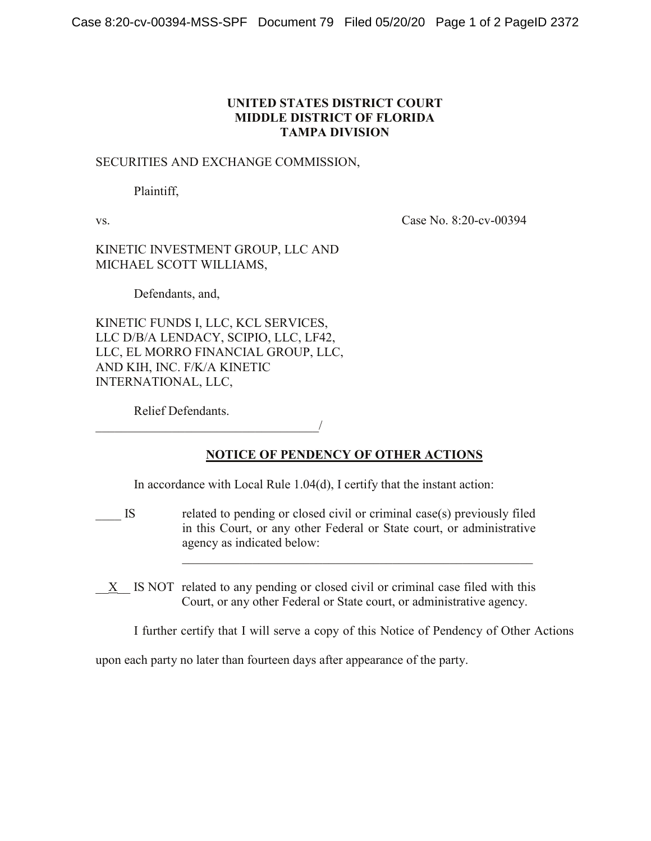## **UNITED STATES DISTRICT COURT MIDDLE DISTRICT OF FLORIDA TAMPA DIVISION**

## SECURITIES AND EXCHANGE COMMISSION,

Plaintiff,

vs. Case No. 8:20-cv-00394

KINETIC INVESTMENT GROUP, LLC AND MICHAEL SCOTT WILLIAMS,

Defendants, and,

KINETIC FUNDS I, LLC, KCL SERVICES, LLC D/B/A LENDACY, SCIPIO, LLC, LF42, LLC, EL MORRO FINANCIAL GROUP, LLC, AND KIH, INC. F/K/A KINETIC INTERNATIONAL, LLC,

\_\_\_\_\_\_\_\_\_\_\_\_\_\_\_\_\_\_\_\_\_\_\_\_\_\_\_\_\_\_\_\_\_\_\_/

Relief Defendants.

## **NOTICE OF PENDENCY OF OTHER ACTIONS**

In accordance with Local Rule 1.04(d), I certify that the instant action:

IS related to pending or closed civil or criminal case(s) previously filed in this Court, or any other Federal or State court, or administrative agency as indicated below:

X IS NOT related to any pending or closed civil or criminal case filed with this Court, or any other Federal or State court, or administrative agency.

I further certify that I will serve a copy of this Notice of Pendency of Other Actions

 $\mathcal{L}_\text{max}$  and  $\mathcal{L}_\text{max}$  and  $\mathcal{L}_\text{max}$  and  $\mathcal{L}_\text{max}$  and  $\mathcal{L}_\text{max}$ 

upon each party no later than fourteen days after appearance of the party.